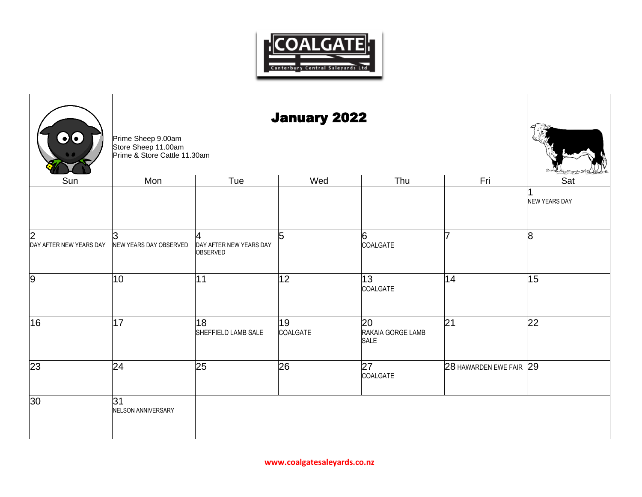

| 00                           | Prime Sheep 9.00am<br>Store Sheep 11.00am<br>Prime & Store Cattle 11.30am |                                          |                |                                 |                         |                      |
|------------------------------|---------------------------------------------------------------------------|------------------------------------------|----------------|---------------------------------|-------------------------|----------------------|
| Sun                          | Mon                                                                       | Tue                                      | Wed            | Thu                             | Fri                     | Sat                  |
|                              |                                                                           |                                          |                |                                 |                         | <b>NEW YEARS DAY</b> |
| 2<br>DAY AFTER NEW YEARS DAY | lЗ<br>NEW YEARS DAY OBSERVED                                              | 4<br>DAY AFTER NEW YEARS DAY<br>OBSERVED | 5              | 6<br>COALGATE                   | 17                      | 8                    |
| 9                            | 10                                                                        | 11                                       | 12             | 13<br>COALGATE                  | 14                      | 15                   |
| 16                           | 17                                                                        | 18<br>SHEFFIELD LAMB SALE                | 19<br>COALGATE | 20<br>RAKAIA GORGE LAMB<br>SALE | 21                      | 22                   |
| $\overline{23}$              | $ 24\rangle$                                                              | $\overline{25}$                          | 26             | $\overline{27}$<br>COALGATE     | 28 HAWARDEN EWE FAIR 29 |                      |
| 30                           | 31<br>NELSON ANNIVERSARY                                                  |                                          |                |                                 |                         |                      |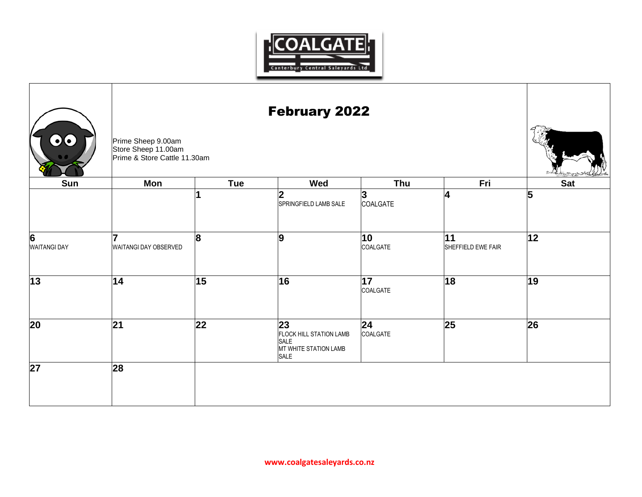

| $\bullet$ $\bullet$                   | Prime Sheep 9.00am         | <b>February 2022</b><br>Store Sheep 11.00am<br>Prime & Store Cattle 11.30am |                                                                               |                 |                          |            |  |  |  |
|---------------------------------------|----------------------------|-----------------------------------------------------------------------------|-------------------------------------------------------------------------------|-----------------|--------------------------|------------|--|--|--|
| Sun                                   | Mon                        | Tue                                                                         | Wed                                                                           | Thu             | Fri                      | <b>Sat</b> |  |  |  |
|                                       |                            |                                                                             | $\overline{\mathbf{2}}$<br>SPRINGFIELD LAMB SALE                              | 3<br>COALGATE   | 14                       | 5          |  |  |  |
| $\overline{6}$<br><b>WAITANGI DAY</b> | 7<br>WAITANGI DAY OBSERVED | 8                                                                           | $\overline{9}$                                                                | 10<br>COALGATE  | 11<br>SHEFFIELD EWE FAIR | 12         |  |  |  |
| $\overline{13}$                       | 14                         | 15                                                                          | 16                                                                            | 17 <br>COALGATE | 18                       | 19         |  |  |  |
| 20                                    | 21                         | 22                                                                          | 23<br><b>FLOCK HILL STATION LAMB</b><br>SALE<br>MT WHITE STATION LAMB<br>SALE | 24<br>COALGATE  | 25                       | 26         |  |  |  |
| 27                                    | 28                         |                                                                             |                                                                               |                 |                          |            |  |  |  |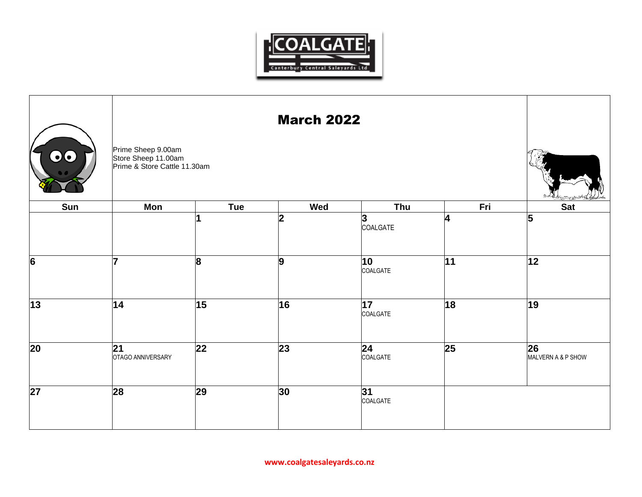

| 00  | Prime Sheep 9.00am<br>Store Sheep 11.00am<br>Prime & Store Cattle 11.30am |            |                |                |                 |                          |
|-----|---------------------------------------------------------------------------|------------|----------------|----------------|-----------------|--------------------------|
| Sun | Mon                                                                       | <b>Tue</b> | Wed            | Thu            | Fri             | <b>Sat</b>               |
|     |                                                                           |            | $\overline{2}$ | 3<br>COALGATE  | 4               | $\overline{5}$           |
| 6   | 17                                                                        | 8          | 9              | 10<br>COALGATE | 11              | 12                       |
| 13  | 14                                                                        | 15         | 16             | 17<br>COALGATE | $\overline{18}$ | $\overline{19}$          |
| 20  | 21<br>OTAGO ANNIVERSARY                                                   | 22         | $ 23\rangle$   | 24<br>COALGATE | 25              | 26<br>MALVERN A & P SHOW |
| 27  | 28                                                                        | 29         | 30             | 31<br>COALGATE |                 |                          |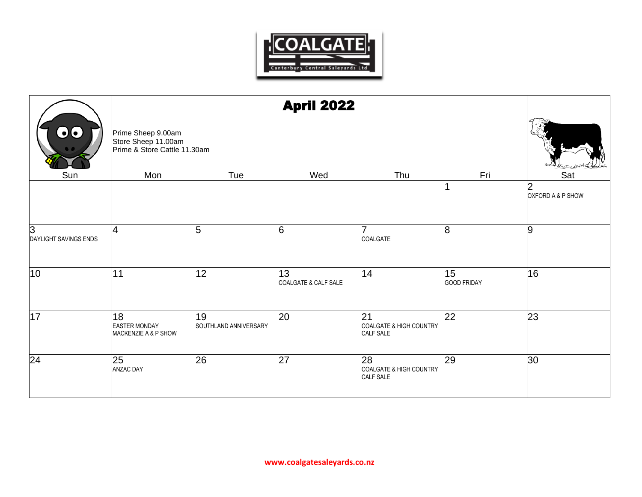

|                            |                                                                           | <b>April 2022</b>           |                            |                                            |                          |                        |  |  |
|----------------------------|---------------------------------------------------------------------------|-----------------------------|----------------------------|--------------------------------------------|--------------------------|------------------------|--|--|
| $\bullet\bullet$           | Prime Sheep 9.00am<br>Store Sheep 11.00am<br>Prime & Store Cattle 11.30am |                             |                            |                                            |                          |                        |  |  |
| Sun                        | Mon                                                                       | Tue                         | Wed                        | Thu                                        | Fri                      | Sat                    |  |  |
|                            |                                                                           |                             |                            |                                            |                          | 2<br>OXFORD A & P SHOW |  |  |
| 3<br>DAYLIGHT SAVINGS ENDS | 4                                                                         | 5                           | 6                          | 7<br>COALGATE                              | $\overline{8}$           | 9                      |  |  |
| 10                         | 111                                                                       | 12                          | 13<br>COALGATE & CALF SALE | 14                                         | 15<br><b>GOOD FRIDAY</b> | 16                     |  |  |
| 17                         | 18<br><b>EASTER MONDAY</b><br>MACKENZIE A & P SHOW                        | 19<br>SOUTHLAND ANNIVERSARY | 20                         | 21<br>COALGATE & HIGH COUNTRY<br>CALF SALE | 22                       | 23                     |  |  |
| 24                         | 25<br><b>ANZAC DAY</b>                                                    | 26                          | $\overline{27}$            | 28<br>COALGATE & HIGH COUNTRY<br>CALF SALE | 29                       | 30                     |  |  |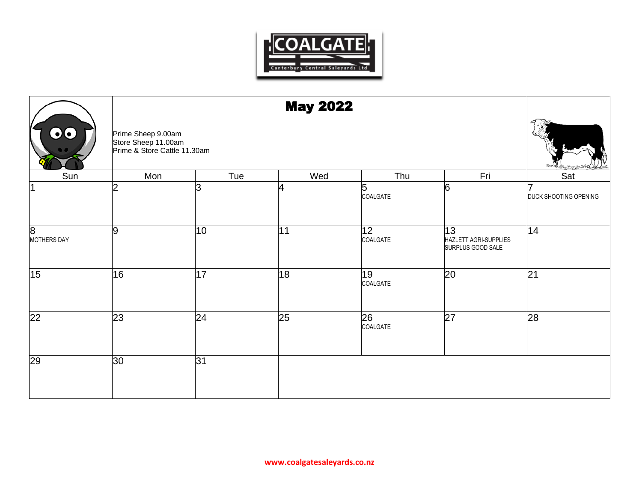

|                         |                                                                           | <b>May 2022</b> |     |                |                                                  |                       |  |  |
|-------------------------|---------------------------------------------------------------------------|-----------------|-----|----------------|--------------------------------------------------|-----------------------|--|--|
| 00                      | Prime Sheep 9.00am<br>Store Sheep 11.00am<br>Prime & Store Cattle 11.30am |                 |     |                |                                                  |                       |  |  |
| Sun                     | Mon                                                                       | Tue             | Wed | Thu            | Fri                                              | Sat                   |  |  |
| 1                       | 2                                                                         | 13              | 4   | 5<br>COALGATE  | 6                                                | DUCK SHOOTING OPENING |  |  |
| 8<br><b>MOTHERS DAY</b> | 9                                                                         | 10              | 11  | 12<br>COALGATE | 13<br>HAZLETT AGRI-SUPPLIES<br>SURPLUS GOOD SALE | 14                    |  |  |
| 15                      | 16                                                                        | 17              | 18  | 19<br>COALGATE | 20                                               | 21                    |  |  |
| 22                      | $\overline{23}$                                                           | $\overline{24}$ | 25  | 26<br>COALGATE | 27                                               | 28                    |  |  |
| 29                      | 30                                                                        | 31              |     |                |                                                  |                       |  |  |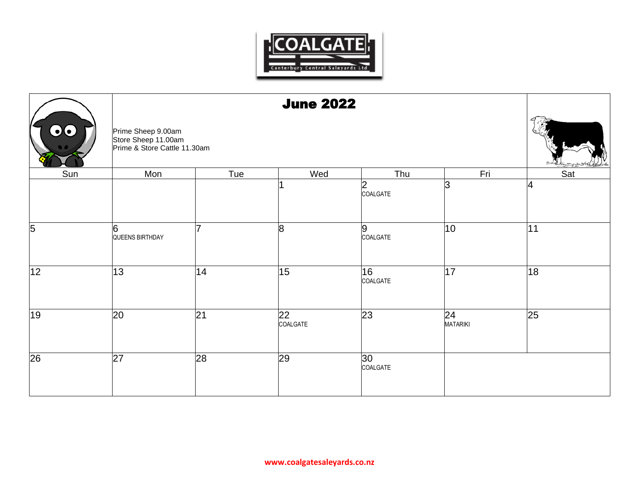

|                 |                                                                           | <b>June 2022</b> |                |                            |                       |     |  |  |  |
|-----------------|---------------------------------------------------------------------------|------------------|----------------|----------------------------|-----------------------|-----|--|--|--|
| $\mathbf{O}$    | Prime Sheep 9.00am<br>Store Sheep 11.00am<br>Prime & Store Cattle 11.30am |                  |                |                            |                       |     |  |  |  |
| Sun             | Mon                                                                       | Tue              | Wed            | Thu                        | Fri                   | Sat |  |  |  |
|                 |                                                                           |                  |                | $\overline{2}$<br>COALGATE | lЗ                    | 4   |  |  |  |
| 5               | 6<br>QUEENS BIRTHDAY                                                      |                  | 8              | 9<br>COALGATE              | 10                    | 11  |  |  |  |
| 12              | 13                                                                        | 14               | 15             | 16 <br>COALGATE            | 17                    | 18  |  |  |  |
| $\overline{19}$ | 20                                                                        | 21               | 22<br>COALGATE | 23                         | 24<br><b>MATARIKI</b> | 25  |  |  |  |
| $\overline{26}$ | 27                                                                        | 28               | 29             | 30<br>COALGATE             |                       |     |  |  |  |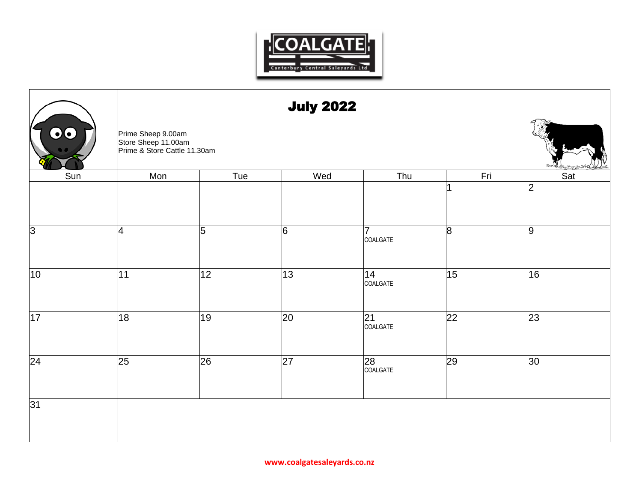

| 00              |                                                                           | <b>July 2022</b> |                 |                 |                 |                       |  |  |
|-----------------|---------------------------------------------------------------------------|------------------|-----------------|-----------------|-----------------|-----------------------|--|--|
|                 | Prime Sheep 9.00am<br>Store Sheep 11.00am<br>Prime & Store Cattle 11.30am |                  |                 |                 |                 |                       |  |  |
| Sun             | Mon                                                                       | Tue              | Wed             | Thu             | Fri             | Sat<br>$\overline{2}$ |  |  |
|                 |                                                                           |                  |                 |                 |                 |                       |  |  |
| 3               | 4                                                                         | 5                | 6               | 7<br>COALGATE   | 8               | 9                     |  |  |
| 10              | 11                                                                        | 12               | 13              | 14 <br>COALGATE | 15              | 16                    |  |  |
| 17              | 18                                                                        | 19               | 20              | 21<br>COALGATE  | $\overline{22}$ | 23                    |  |  |
| $\overline{24}$ | 25                                                                        | $\overline{26}$  | $\overline{27}$ | 28<br>COALGATE  | $\overline{29}$ | $ 30\rangle$          |  |  |
| 31              |                                                                           |                  |                 |                 |                 |                       |  |  |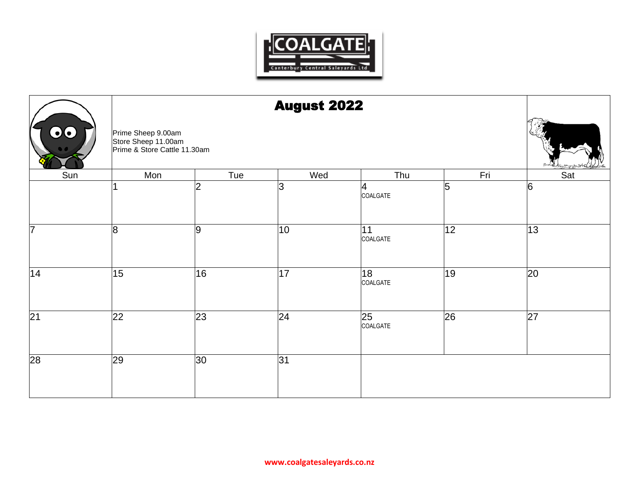

|                 |                                                                           | <b>August 2022</b> |     |                             |     |     |  |  |  |
|-----------------|---------------------------------------------------------------------------|--------------------|-----|-----------------------------|-----|-----|--|--|--|
| 00              | Prime Sheep 9.00am<br>Store Sheep 11.00am<br>Prime & Store Cattle 11.30am |                    |     |                             |     |     |  |  |  |
| Sun             | Mon                                                                       | Tue                | Wed | Thu                         | Fri | Sat |  |  |  |
|                 |                                                                           | 2                  | 3   | 4<br>COALGATE               | 5   | 6   |  |  |  |
| 7               | 8                                                                         | 9                  | 10  | 11<br>COALGATE              | 12  | 13  |  |  |  |
| 14              | 15                                                                        | 16                 | 17  | 18<br>COALGATE              | 19  | 20  |  |  |  |
| $\overline{21}$ | $\overline{22}$                                                           | 23                 | 24  | $\overline{25}$<br>COALGATE | 26  | 27  |  |  |  |
| $\overline{28}$ | 29                                                                        | 30 <sup>°</sup>    | 31  |                             |     |     |  |  |  |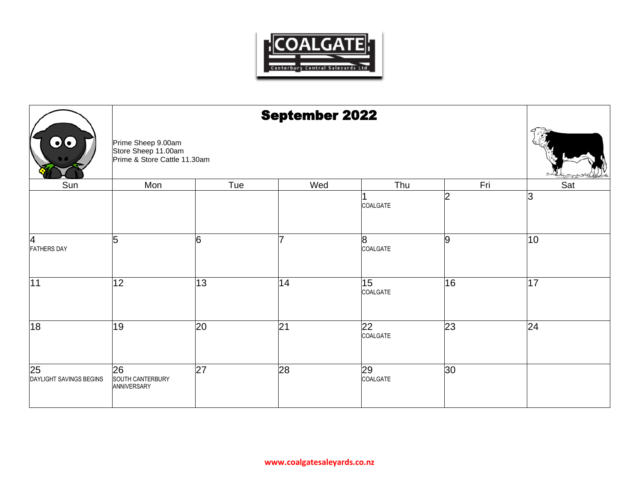

|                                            |                                                                           | <b>September 2022</b> |     |                             |     |                 |  |  |
|--------------------------------------------|---------------------------------------------------------------------------|-----------------------|-----|-----------------------------|-----|-----------------|--|--|
| 00                                         | Prime Sheep 9.00am<br>Store Sheep 11.00am<br>Prime & Store Cattle 11.30am |                       |     |                             |     |                 |  |  |
| Sun                                        | Mon                                                                       | Tue                   | Wed | Thu                         | Fri | Sat             |  |  |
|                                            |                                                                           |                       |     | COALGATE                    | l2  | 3               |  |  |
| 4<br><b>FATHERS DAY</b>                    | 5                                                                         | 6                     |     | 8<br>COALGATE               | 9   | 10 <sub>1</sub> |  |  |
| 11                                         | 12                                                                        | 13                    | 14  | $\overline{15}$<br>COALGATE | 16  | 17              |  |  |
| 18                                         | 19                                                                        | 20                    | 21  | 22<br>COALGATE              | 23  | 24              |  |  |
| $\overline{25}$<br>DAYLIGHT SAVINGS BEGINS | 26<br>SOUTH CANTERBURY<br>ANNIVERSARY                                     | 27                    | 28  | 29<br>COALGATE              | 30  |                 |  |  |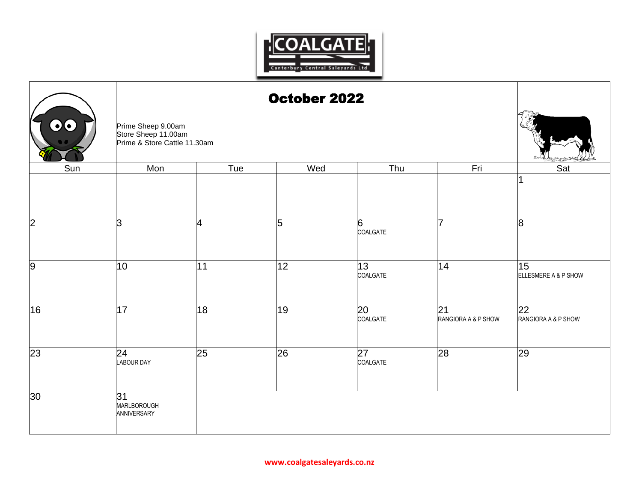

| 00              | Prime Sheep 9.00am<br>Store Sheep 11.00am | October 2022 |     |                |                           |                            |  |  |
|-----------------|-------------------------------------------|--------------|-----|----------------|---------------------------|----------------------------|--|--|
| Sun             | Prime & Store Cattle 11.30am<br>Mon       | Tue          | Wed | Thu            | Fri                       | Sat                        |  |  |
| $\overline{2}$  | 3                                         | 4            | 5   | 6<br>COALGATE  | 7                         | 8                          |  |  |
| $\overline{9}$  | 10                                        | 11           | 12  | 13<br>COALGATE | 14                        | 15<br>ELLESMERE A & P SHOW |  |  |
| 16              | 17                                        | 18           | 19  | 20<br>COALGATE | 21<br>RANGIORA A & P SHOW | 22<br>RANGIORA A & P SHOW  |  |  |
| 23              | 24<br><b>LABOUR DAY</b>                   | 25           | 26  | 27<br>COALGATE | 28                        | 29                         |  |  |
| 30 <sup>2</sup> | 31<br>MARLBOROUGH<br>ANNIVERSARY          |              |     |                |                           |                            |  |  |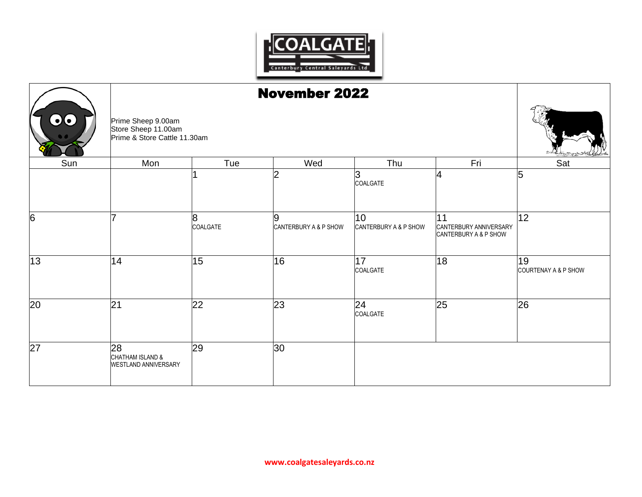

|     |                                                                           | <b>November 2022</b> |                            |                             |                                                       |                            |  |  |  |
|-----|---------------------------------------------------------------------------|----------------------|----------------------------|-----------------------------|-------------------------------------------------------|----------------------------|--|--|--|
| 00  | Prime Sheep 9.00am<br>Store Sheep 11.00am<br>Prime & Store Cattle 11.30am |                      |                            |                             |                                                       |                            |  |  |  |
| Sun | Mon                                                                       | Tue                  | Wed                        | Thu                         | Fri                                                   | Sat                        |  |  |  |
|     |                                                                           |                      | 2                          | 3<br>COALGATE               | 4                                                     | 5                          |  |  |  |
| 6   | 7                                                                         | 8<br>COALGATE        | 9<br>CANTERBURY A & P SHOW | 10<br>CANTERBURY A & P SHOW | 11<br>CANTERBURY ANNIVERSARY<br>CANTERBURY A & P SHOW | 12                         |  |  |  |
| 13  | 14                                                                        | 15                   | 16                         | 17<br>COALGATE              | 18                                                    | 19<br>COURTENAY A & P SHOW |  |  |  |
| 20  | 21                                                                        | 22                   | 23                         | 24<br>COALGATE              | 25                                                    | 26                         |  |  |  |
| 27  | 28<br>CHATHAM ISLAND &<br>WESTLAND ANNIVERSARY                            | 29                   | 30                         |                             |                                                       |                            |  |  |  |